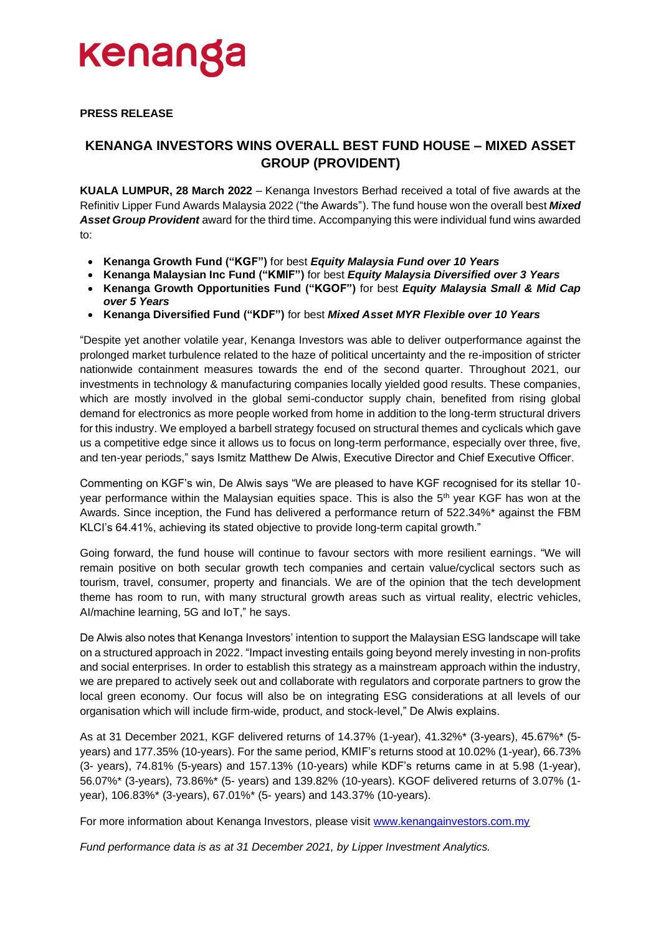

### **PRESS RELEASE**

## **KENANGA INVESTORS WINS OVERALL BEST FUND HOUSE – MIXED ASSET GROUP (PROVIDENT)**

**KUALA LUMPUR, 28 March 2022** – Kenanga Investors Berhad received a total of five awards at the Refinitiv Lipper Fund Awards Malaysia 2022 ("the Awards"). The fund house won the overall best *Mixed Asset Group Provident* award for the third time. Accompanying this were individual fund wins awarded to:

- **Kenanga Growth Fund ("KGF")** for best *Equity Malaysia Fund over 10 Years*
- **Kenanga Malaysian Inc Fund ("KMIF")** for best *Equity Malaysia Diversified over 3 Years*
- **Kenanga Growth Opportunities Fund ("KGOF")** for best *Equity Malaysia Small & Mid Cap over 5 Years*
- **Kenanga Diversified Fund ("KDF")** for best *Mixed Asset MYR Flexible over 10 Years*

"Despite yet another volatile year, Kenanga Investors was able to deliver outperformance against the prolonged market turbulence related to the haze of political uncertainty and the re-imposition of stricter nationwide containment measures towards the end of the second quarter. Throughout 2021, our investments in technology & manufacturing companies locally yielded good results. These companies, which are mostly involved in the global semi-conductor supply chain, benefited from rising global demand for electronics as more people worked from home in addition to the long-term structural drivers for this industry. We employed a barbell strategy focused on structural themes and cyclicals which gave us a competitive edge since it allows us to focus on long-term performance, especially over three, five, and ten-year periods," says Ismitz Matthew De Alwis, Executive Director and Chief Executive Officer.

Commenting on KGF's win, De Alwis says "We are pleased to have KGF recognised for its stellar 10 year performance within the Malaysian equities space. This is also the 5<sup>th</sup> year KGF has won at the Awards. Since inception, the Fund has delivered a performance return of 522.34%\* against the FBM KLCI's 64.41%, achieving its stated objective to provide long-term capital growth."

Going forward, the fund house will continue to favour sectors with more resilient earnings. "We will remain positive on both secular growth tech companies and certain value/cyclical sectors such as tourism, travel, consumer, property and financials. We are of the opinion that the tech development theme has room to run, with many structural growth areas such as virtual reality, electric vehicles, AI/machine learning, 5G and IoT," he says.

De Alwis also notes that Kenanga Investors' intention to support the Malaysian ESG landscape will take on a structured approach in 2022. "Impact investing entails going beyond merely investing in non-profits and social enterprises. In order to establish this strategy as a mainstream approach within the industry, we are prepared to actively seek out and collaborate with regulators and corporate partners to grow the local green economy. Our focus will also be on integrating ESG considerations at all levels of our organisation which will include firm-wide, product, and stock-level," De Alwis explains.

As at 31 December 2021, KGF delivered returns of 14.37% (1-year), 41.32%\* (3-years), 45.67%\* (5 years) and 177.35% (10-years). For the same period, KMIF's returns stood at 10.02% (1-year), 66.73% (3- years), 74.81% (5-years) and 157.13% (10-years) while KDF's returns came in at 5.98 (1-year), 56.07%\* (3-years), 73.86%\* (5- years) and 139.82% (10-years). KGOF delivered returns of 3.07% (1 year), 106.83%\* (3-years), 67.01%\* (5- years) and 143.37% (10-years).

For more information about Kenanga Investors, please visit [www.kenangainvestors.com.my](http://www.kenangainvestors.com.my/)

*Fund performance data is as at 31 December 2021, by Lipper Investment Analytics.*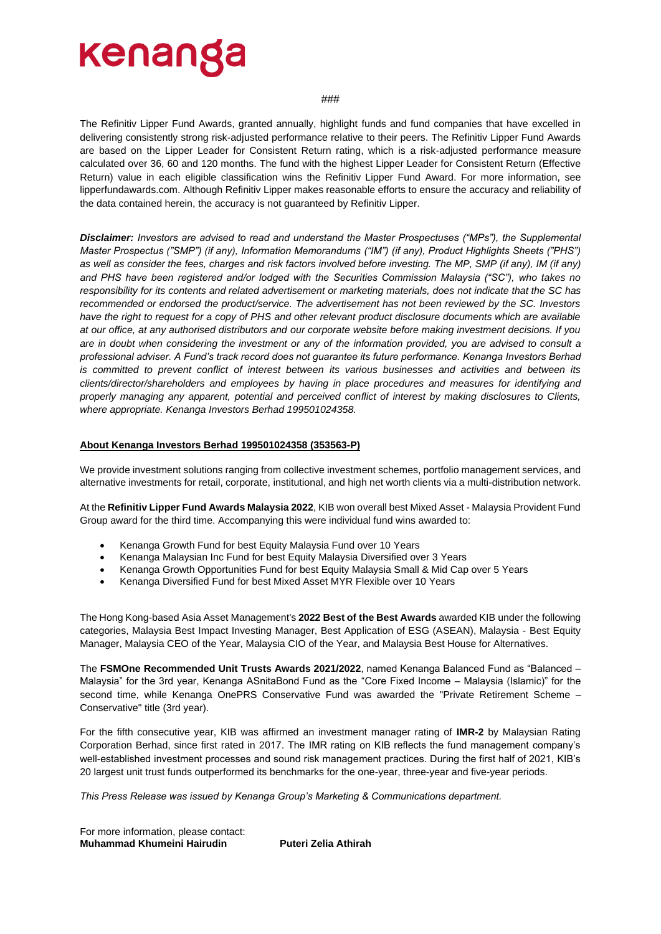# kenanga

#### ###

The Refinitiv Lipper Fund Awards, granted annually, highlight funds and fund companies that have excelled in delivering consistently strong risk-adjusted performance relative to their peers. The Refinitiv Lipper Fund Awards are based on the Lipper Leader for Consistent Return rating, which is a risk-adjusted performance measure calculated over 36, 60 and 120 months. The fund with the highest Lipper Leader for Consistent Return (Effective Return) value in each eligible classification wins the Refinitiv Lipper Fund Award. For more information, see lipperfundawards.com. Although Refinitiv Lipper makes reasonable efforts to ensure the accuracy and reliability of the data contained herein, the accuracy is not guaranteed by Refinitiv Lipper.

*Disclaimer: Investors are advised to read and understand the Master Prospectuses ("MPs"), the Supplemental Master Prospectus ("SMP") (if any), Information Memorandums ("IM") (if any), Product Highlights Sheets ("PHS")*  as well as consider the fees, charges and risk factors involved before investing. The MP, SMP (if any), IM (if any) *and PHS have been registered and/or lodged with the Securities Commission Malaysia ("SC"), who takes no responsibility for its contents and related advertisement or marketing materials, does not indicate that the SC has recommended or endorsed the product/service. The advertisement has not been reviewed by the SC. Investors have the right to request for a copy of PHS and other relevant product disclosure documents which are available at our office, at any authorised distributors and our corporate website before making investment decisions. If you are in doubt when considering the investment or any of the information provided, you are advised to consult a professional adviser. A Fund's track record does not guarantee its future performance. Kenanga Investors Berhad is committed to prevent conflict of interest between its various businesses and activities and between its clients/director/shareholders and employees by having in place procedures and measures for identifying and properly managing any apparent, potential and perceived conflict of interest by making disclosures to Clients, where appropriate. Kenanga Investors Berhad 199501024358.*

### **About Kenanga Investors Berhad 199501024358 (353563-P)**

We provide investment solutions ranging from collective investment schemes, portfolio management services, and alternative investments for retail, corporate, institutional, and high net worth clients via a multi-distribution network.

At the **Refinitiv Lipper Fund Awards Malaysia 2022**, KIB won overall best Mixed Asset - Malaysia Provident Fund Group award for the third time. Accompanying this were individual fund wins awarded to:

- Kenanga Growth Fund for best Equity Malaysia Fund over 10 Years
- Kenanga Malaysian Inc Fund for best Equity Malaysia Diversified over 3 Years
- Kenanga Growth Opportunities Fund for best Equity Malaysia Small & Mid Cap over 5 Years
- Kenanga Diversified Fund for best Mixed Asset MYR Flexible over 10 Years

The Hong Kong-based Asia Asset Management's **2022 Best of the Best Awards** awarded KIB under the following categories, Malaysia Best Impact Investing Manager, Best Application of ESG (ASEAN), Malaysia - Best Equity Manager, Malaysia CEO of the Year, Malaysia CIO of the Year, and Malaysia Best House for Alternatives.

The **FSMOne Recommended Unit Trusts Awards 2021/2022**, named Kenanga Balanced Fund as "Balanced – Malaysia" for the 3rd year, Kenanga ASnitaBond Fund as the "Core Fixed Income – Malaysia (Islamic)" for the second time, while Kenanga OnePRS Conservative Fund was awarded the "Private Retirement Scheme -Conservative" title (3rd year).

For the fifth consecutive year, KIB was affirmed an investment manager rating of **IMR-2** by Malaysian Rating Corporation Berhad, since first rated in 2017. The IMR rating on KIB reflects the fund management company's well-established investment processes and sound risk management practices. During the first half of 2021, KIB's 20 largest unit trust funds outperformed its benchmarks for the one-year, three-year and five-year periods.

*This Press Release was issued by Kenanga Group's Marketing & Communications department.*

For more information, please contact: **Muhammad Khumeini Hairudin Puteri Zelia Athirah**